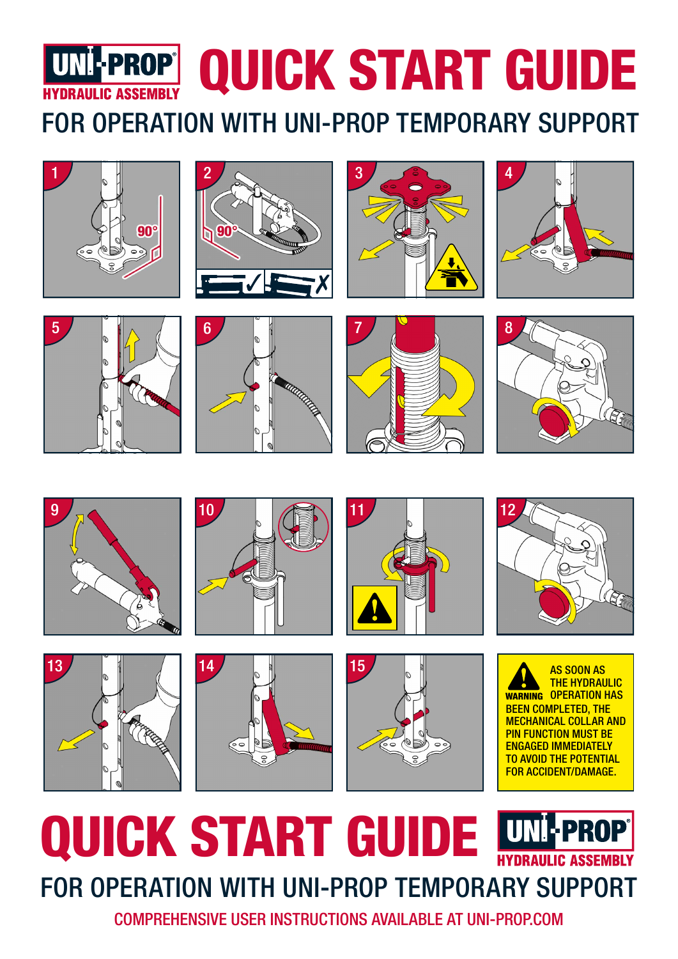

































# QUICK START GUIDE **W LPRO** FOR OPERATION WITH UNI-PROP TEMPORARY SUPPORT

COMPREHENSIVE USER INSTRUCTIONS AVAILABLE AT UNI-PROP.COM